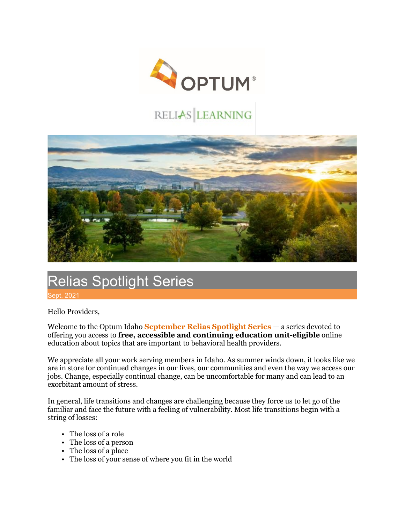

## RELIAS LEARNING



## Relias Spotlight Series pt. 2021

Hello Providers,

Welcome to the Optum Idaho **September Relias Spotlight Series** — a series devoted to offering you access to **free, accessible and continuing education unit-eligible** online education about topics that are important to behavioral health providers.

We appreciate all your work serving members in Idaho. As summer winds down, it looks like we are in store for continued changes in our lives, our communities and even the way we access our jobs. Change, especially continual change, can be uncomfortable for many and can lead to an exorbitant amount of stress.

In general, life transitions and changes are challenging because they force us to let go of the familiar and face the future with a feeling of vulnerability. Most life transitions begin with a string of losses:

- The loss of a role
- The loss of a person
- The loss of a place
- The loss of your sense of where you fit in the world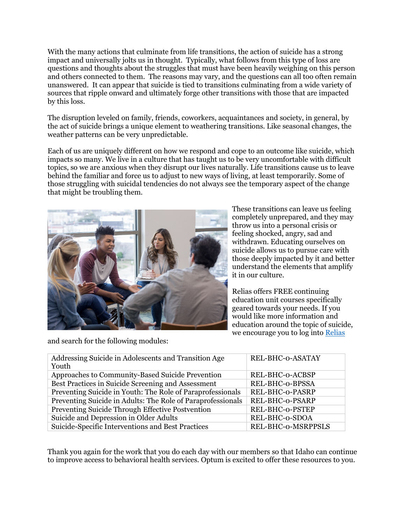With the many actions that culminate from life transitions, the action of suicide has a strong impact and universally jolts us in thought. Typically, what follows from this type of loss are questions and thoughts about the struggles that must have been heavily weighing on this person and others connected to them. The reasons may vary, and the questions can all too often remain unanswered. It can appear that suicide is tied to transitions culminating from a wide variety of sources that ripple onward and ultimately forge other transitions with those that are impacted by this loss.

The disruption leveled on family, friends, coworkers, acquaintances and society, in general, by the act of suicide brings a unique element to weathering transitions. Like seasonal changes, the weather patterns can be very unpredictable.

Each of us are uniquely different on how we respond and cope to an outcome like suicide, which impacts so many. We live in a culture that has taught us to be very uncomfortable with difficult topics, so we are anxious when they disrupt our lives naturally. Life transitions cause us to leave behind the familiar and force us to adjust to new ways of living, at least temporarily. Some of those struggling with suicidal tendencies do not always see the temporary aspect of the change that might be troubling them.



These transitions can leave us feeling completely unprepared, and they may throw us into a personal crisis or feeling shocked, angry, sad and withdrawn. Educating ourselves on suicide allows us to pursue care with those deeply impacted by it and better understand the elements that amplify it in our culture.

Relias offers FREE continuing education unit courses specifically geared towards your needs. If you would like more information and education around the topic of suicide, we encourage you to log into [Relias](https://optumidaho.training.reliaslearning.com/Users/Users.aspx)

and search for the following modules:

| Addressing Suicide in Adolescents and Transition Age<br>Youth | REL-BHC-0-ASATAY   |
|---------------------------------------------------------------|--------------------|
| Approaches to Community-Based Suicide Prevention              | REL-BHC-o-ACBSP    |
| Best Practices in Suicide Screening and Assessment            | REL-BHC-o-BPSSA    |
| Preventing Suicide in Youth: The Role of Paraprofessionals    | REL-BHC-0-PASRP    |
| Preventing Suicide in Adults: The Role of Paraprofessionals   | REL-BHC-0-PSARP    |
| Preventing Suicide Through Effective Postvention              | REL-BHC-0-PSTEP    |
| Suicide and Depression in Older Adults                        | REL-BHC-o-SDOA     |
| Suicide-Specific Interventions and Best Practices             | REL-BHC-o-MSRPPSLS |

Thank you again for the work that you do each day with our members so that Idaho can continue to improve access to behavioral health services. Optum is excited to offer these resources to you.